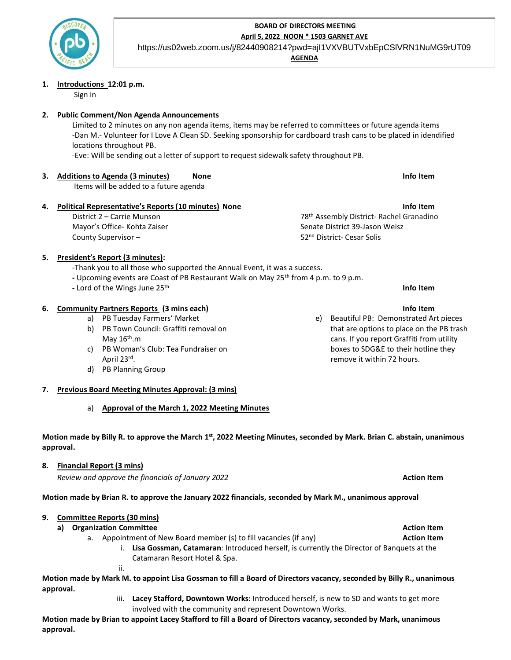

# **BOARD OF DIRECTORS MEETING April 5, 2022 NOON \* 1503 GARNET AVE**

https://us02web.zoom.us/j/82440908214?pwd=ajI1VXVBUTVxbEpCSlVRN1NuMG9rUT09

**AGENDA** 

#### **1. Introductions 12:01 p.m.**

Sign in

# **2. Public Comment/Non Agenda Announcements**

Limited to 2 minutes on any non agenda items, items may be referred to committees or future agenda items -Dan M.- Volunteer for I Love A Clean SD. Seeking sponsorship for cardboard trash cans to be placed in idendified locations throughout PB.

-Eve: Will be sending out a letter of support to request sidewalk safety throughout PB.

**3. Additions to Agenda (3 minutes) None Info Item**

Items will be added to a future agenda

# **4. Political Representative's Reports (10 minutes) None Info Item**

District 2 – Carrie Munson Mayor's Office- Kohta Zaiser County Supervisor –

78th Assembly District- Rachel Granadino Senate District 39-Jason Weisz 52nd District- Cesar Solis

# **5. President's Report (3 minutes):**

-Thank you to all those who supported the Annual Event, it was a success.

- **-** Upcoming events are Coast of PB Restaurant Walk on May 25th from 4 p.m. to 9 p.m.
- **-** Lord of the Wings June 25th **Info Item**

# **6. Community Partners Reports (3 mins each) Info Item**

- a) PB Tuesday Farmers' Market
- b) PB Town Council: Graffiti removal on May 16<sup>th</sup>.m
- c) PB Woman's Club: Tea Fundraiser on April 23rd .
- d) PB Planning Group
- **7. Previous Board Meeting Minutes Approval: (3 mins)**
	- a) **Approval of the March 1, 2022 Meeting Minutes**

# **Motion made by Billy R. to approve the March 1st, 2022 Meeting Minutes, seconded by Mark. Brian C. abstain, unanimous approval.**

# **8. Financial Report (3 mins)**

*Review and approve the financials of January 2022* **Action Item**

**Motion made by Brian R. to approve the January 2022 financials, seconded by Mark M., unanimous approval** 

# **9. Committee Reports (30 mins)**

**a) Organization Committee Action Item**

ii.

- a. Appointment of New Board member (s) to fill vacancies (if any) **Action Item**
	- i. **Lisa Gossman, Catamaran**: Introduced herself, is currently the Director of Banquets at the Catamaran Resort Hotel & Spa.

Motion made by Mark M. to appoint Lisa Gossman to fill a Board of Directors vacancy, seconded by Billy R., unanimous **approval.** 

> iii. **Lacey Stafford, Downtown Works:** Introduced herself, is new to SD and wants to get more involved with the community and represent Downtown Works.

Motion made by Brian to appoint Lacey Stafford to fill a Board of Directors vacancy, seconded by Mark, unanimous **approval.**

- 
- e) Beautiful PB: Demonstrated Art pieces that are options to place on the PB trash cans. If you report Graffiti from utility boxes to SDG&E to their hotline they remove it within 72 hours.